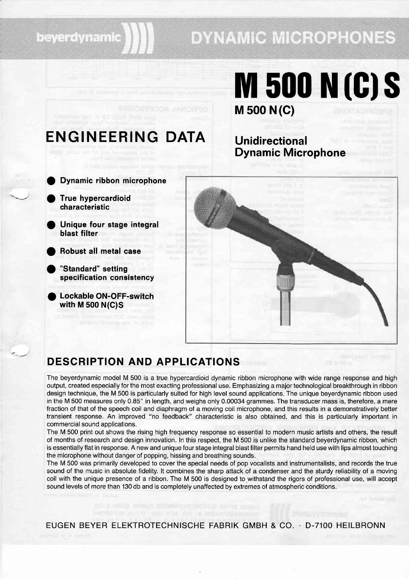### beyerdynamic

## **DYNAMIC MICROPHONES**

# M 500 N (C) **M 500 N (C) S**

## ENGINEERING DATA Unidirectional

# Dynamic Microphone

- o Dynamic ribbon microphone
- $\overline{\phantom{a}}$  . True hypercardioid characteristic
	- Unique four stage integral blast filter o
		- Robust all metal case

**.** 

- "Standard" setting specification consistency
- Lockable ON-OFF-switch with M 500 N(C)S



### DESCRIPTION AND APPLICATIONS

The beyerdynamic model M 500 is a true hypercardioid dynamic ribbon microphone with wide range response and high output, created especially for the most exacting professional use. Emphasizing a major technological breakthrough in ribbon design technique, the M 500 is particularly suited for high level sound applications. The unique beyerdynamic ribbon used in the M 500 measures only 0.85" in length, and weighs only 0.00034 grammes. The transducer mass is, therefore, amere fraction of that of the speech coil and diaphragm of a moving coil microphone, and this results in a demonstratively better transient response. An improved "no feedback" characteristic is also obtained, and this is particularly important in commercial sound applications.

The M 500 print out shows the rising high frequency response so essential to modern music artists and others, the result of months of research and design innovation. In this respect, the M 500 is unlike the standard beyerdynamic ribbon, which is essentially flat in response. A new and unique four stage integral blast filter permits hand held use with lips almost touching the microphone without danger of popping, hissing and breathing sounds.

The M 500 was primarily developed to cover the special needs of pop vocalists and instrumentalists, and records the true sound of the music in absolute fidelity. lt combines the sharp attack of a condenser and the sturdy reliability of a moving coil with the unique presence of a ribbon. The M 500 is designed to withstand the rigors of professional use, will accept sound levels of more than 130 db and is completely unaffected by extremes of atmospheric conditions.

EUGEN BEYER ELEKTROTECHNISCHE FABRIK GMBH & CO. . D-7100 HEILBRONN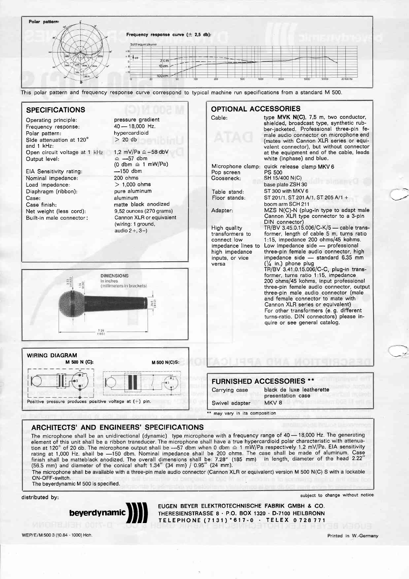|      | Frequency response curve $(\pm 2.5$ db): |  |
|------|------------------------------------------|--|
|      | Soilfrequenzkurve                        |  |
| 2821 | $+35$                                    |  |
|      | 447<br>$\sim$<br>$2 \epsilon m$          |  |
|      | $10 \, \mathrm{cm}$<br>-                 |  |
|      | 100 cm                                   |  |

Pop screen Gooseneck: Table stand: Floor stands:

OPTIONAL ACCESSORIES

Cable: type MVK N(C), 7,5 m, two conductor,

white (inphase) and blue.

boom arm SCH 211

DIN connector) High quality  $TR/BV$  3.45.0.15.006/C-K/5 - cable trans-<br>transformers to former, length of cable 5 m, turns ratio transformers to former, length of cable 5 m, turns ratio connect low 1:15, impedance 200 ohms/45 kohms. connect low 1:15, impedance 200 ohms/45 kohms.<br>impedance lines to Low impedance side — professional impedance lines to Low impedance side -- professional<br>high impedance three-pin female audio connector, high high impedance three-pin female audio connector, high<br>inputs, or vice impedance side — standard 6.35 mm

sr 201/1. sT 201 A/1. sr 205 A/1 +

MZS N(C)-N (plug-in type to adapt male Cannon XLR type connector to a 3-pin

 $\cdot$  :

TR/BV 3.41 .0.15.006/C-C, plug-in transformer, turns ratio 1:15, impedance 200 ohms/4s kohms, input professional three-pin female audio connector, output three-pin male audio connector (male and female connector to mate with Cannon XLR series or equivalent) For other transformers (e. g. different

Microphone clamp: quick release clamp MKV 6 PS 5OO sH 15/400 N(c) base plate ZSH 30 ST 300 with MKV 6

versa  $(\frac{1}{4} \text{ in.})$  phone plug

shielded, broadcast type, synthetic rubber-jacketed. Professional three-pin female audio connector on microphone end (mates with Cannon XLR series or equivalent connector), but without connector at the equipment end of the cable, leads

Adapter:

This polar pattern and frequency response curve correspond to typical machine run specifications from a standard M 500.

#### SPECIFICATIONS

Operating principle: Frequency response: Polar pattern: Side attenuation at 120' and 1 kHz: Open circuit voltage at 1 kHz Output level:

EIA Sensitivity rating: Nominal impedance: Load impedance: Diaphragm (ribbon): Case: Case finish: Net weight (less cord): Built-in male connector:

WIRING DIAGRAM

Positive pressure produces posi

pressure gradient  $40 - 18,000$  Hz. hypercard ioid  $> 20$  db

1,2 mV/Pa  $\triangle$  -58 dbV  $-57$  dbm  $(0 \text{ dbm} \triangleq 1 \text{ mW/Pa})$  $-150$  dbm 200 ohms  $> 1,000$  ohms pure aluminum aluminum matte black anodized 9,52 ounces (270 grams) Cannon XLR or equivalent (wiring: 1 ground, audio  $2+, 3-$ )



| 7.78<br>185)               |                | turns-ratio. DIN connectors) please in-<br>quire or see general catalog. |  |
|----------------------------|----------------|--------------------------------------------------------------------------|--|
| <b>M 500 N(C)S:</b>        |                |                                                                          |  |
|                            |                | <b>FURNISHED ACCESSORIES **</b>                                          |  |
|                            | Carrying case  | black de luxe leatherette<br>presentation case                           |  |
| tive voltage at $(+)$ pin. | Swivel adapter | MKV <sub>8</sub>                                                         |  |

|                | <b>FURNISHED ACCESSORIES **</b>                |
|----------------|------------------------------------------------|
| Carrying case  | black de luxe leatherette<br>presentation case |
| Swivel adapter | MKV <sub>8</sub>                               |

\*\* may vary in its composition

#### ARCHITECTS' AND ENGINEERS' SPECIFICATIONS

The microphone shall be an unidirectional (dynamic) type microphone with a frequency range of 40 - 18,000 Hz. The generating element of this unit shall be a ribbon transducer. The microphone shall have a true hypercardioid polar characteristic with attenuation at 120° of 20 db. The microphone output shall be --57 dbm when 0 dbm  $\triangleq$  1 mW/Pa respectively 1,2 mV/Pa. EIA sensitivity rating at 1,000 Hz. shall be —150 dbm. Nominal impedance shall be 200 ohms. The case shall be made of aluminum. Case finish shall be matteblack anodized. The overall dimensions shall be: 7.28″ (185 mm) in length, diameter of the head 2.22″ (56.5 mm) and diameter of the conical shaft 1.34" (34 mm) / 0.95" (24 mm).

The microphone shall be available with a three-pin male audio connector (Cannon XLR or equivalent) version M 500 N(C) S with a lockable ON-OFF-switch.

The beyerdynamic M 500 is specified.

M 500 N (C):

distributed by: subject to change without notice subject to change without notice



EUGEN BEYER ELEKTROTECHNISCHE FABRIK GMBH & CO. THERESIENSTRASSE 8 · P.O. BOX 1320 · D-7100 HEILBRONN TELEPHONE (7131) \* 617-0 · TELEX 0728771

WEP/E/M 500 3 (10.84 - 1000) Hoh. Printed in W.-Germany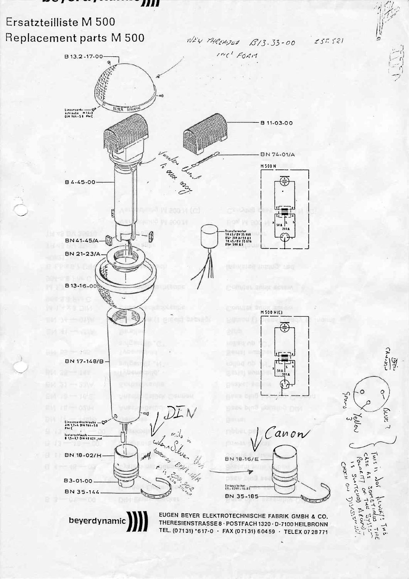#### *III*

## Ersatzteilliste M 500 Replacement parts M 500

WEW MACHINED B13.33-00  $255521$ 





THE